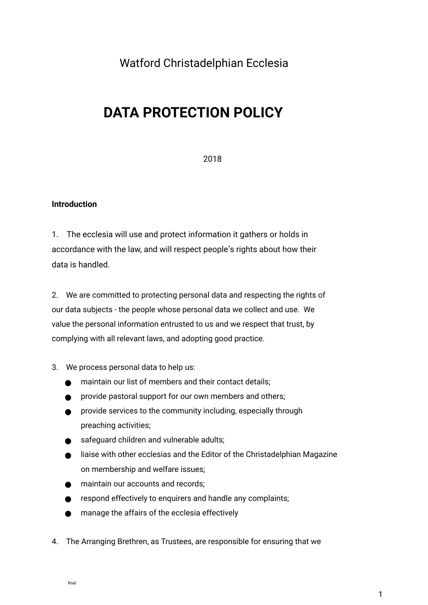## Watford Christadelphian Ecclesia

# **DATA PROTECTION POLICY**

2018

### **Introduction**

1. The ecclesia will use and protect information it gathers or holds in accordance with the law, and will respect people's rights about how their data is handled.

2. We are committed to protecting personal data and respecting the rights of our data subjects - the people whose personal data we collect and use. We value the personal information entrusted to us and we respect that trust, by complying with all relevant laws, and adopting good practice.

### 3. We process personal data to help us:

maintain our list of members and their contact details; provide pastoral support for our own members and others; provide services to the community including, especially through preaching activities; safeguard children and vulnerable adults; liaise with other ecclesias and the Editor of the Christadelphian Magazine on membership and welfare issues; maintain our accounts and records; respond effectively to enquirers and handle any complaints; manage the affairs of the ecclesia effectively

4. The Arranging Brethren, as Trustees, are responsible for ensuring that we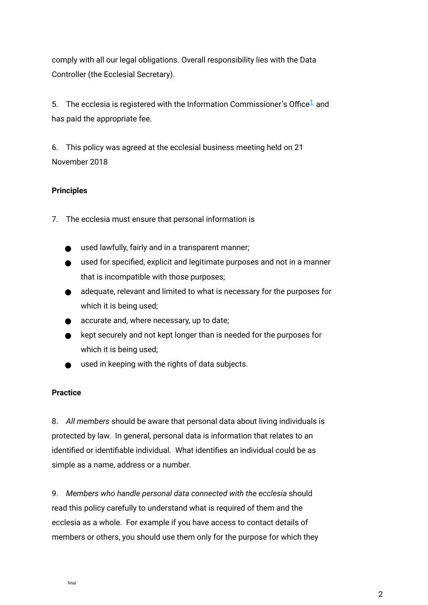comply with all our legal obligations. Overall responsibility lies with the Data Controller (the Ecclesial Secretary).

5. The ecclesia is registered with the Information Commissioner's Office<sup>1</sup> and has paid the appropriate fee.

6. This policy was agreed at the ecclesial business meeting held on 21 November 2018

### **Principles**

7. The ecclesia must ensure that personal information is

used lawfully, fairly and in a transparent manner; used for specifed, explicit and legitimate purposes and not in a manner that is incompatible with those purposes; adequate, relevant and limited to what is necessary for the purposes for which it is being used; accurate and, where necessary, up to date; kept securely and not kept longer than is needed for the purposes for which it is being used; used in keeping with the rights of data subjects.

### **Practice**

8. *All members* should be aware that personal data about living individuals is protected by law. In general, personal data is information that relates to an identifed or identifable individual. What identifes an individual could be as simple as a name, address or a number.

9. *Members who handle personal data connected with the ecclesia* should read this policy carefully to understand what is required of them and the ecclesia as a whole. For example if you have access to contact details of members or others, you should use them only for the purpose for which they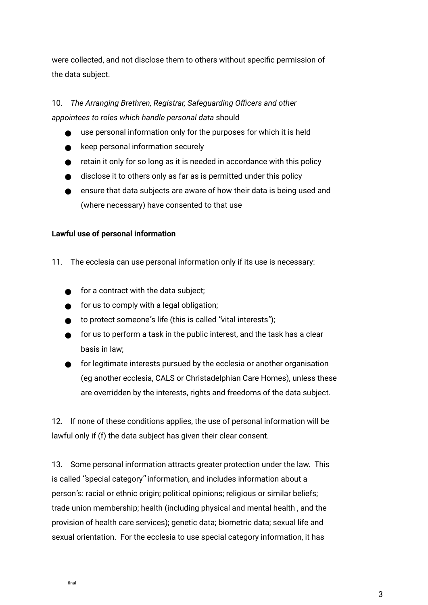were collected, and not disclose them to others without specifc permission of the data subject.

## 10. The Arranging Brethren, Registrar, Safeguarding Officers and other *appointees to roles which handle personal data* should

use personal information only for the purposes for which it is held keep personal information securely retain it only for so long as it is needed in accordance with this policy disclose it to others only as far as is permitted under this policy ensure that data subjects are aware of how their data is being used and (where necessary) have consented to that use

### **Lawful use of personal information**

11. The ecclesia can use personal information only if its use is necessary:

for a contract with the data subject; for us to comply with a legal obligation; to protect someone's life (this is called "vital interests"); for us to perform a task in the public interest, and the task has a clear basis in law; for legitimate interests pursued by the ecclesia or another organisation (eg another ecclesia, CALS or Christadelphian Care Homes), unless these

are overridden by the interests, rights and freedoms of the data subject.

12. If none of these conditions applies, the use of personal information will be lawful only if (f) the data subject has given their clear consent.

13. Some personal information attracts greater protection under the law. This is called "special category" information, and includes information about a person's: racial or ethnic origin; political opinions; religious or similar beliefs; trade union membership; health (including physical and mental health , and the provision of health care services); genetic data; biometric data; sexual life and sexual orientation. For the ecclesia to use special category information, it has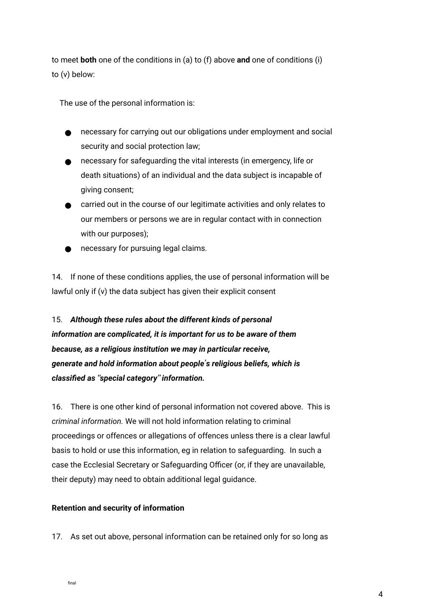to meet **both** one of the conditions in (a) to (f) above **and** one of conditions (i) to (v) below:

The use of the personal information is:

necessary for carrying out our obligations under employment and social security and social protection law; necessary for safeguarding the vital interests (in emergency, life or death situations) of an individual and the data subject is incapable of giving consent; carried out in the course of our legitimate activities and only relates to our members or persons we are in regular contact with in connection with our purposes);

necessary for pursuing legal claims.

14. If none of these conditions applies, the use of personal information will be lawful only if (v) the data subject has given their explicit consent

15. *Although these rules about the different kinds of personal information are complicated, it is important for us to be aware of them because, as a religious institution we may in particular receive, generate and hold information about people*'*s religious beliefs, which is classifed as* "*special category*" *information.*

16. There is one other kind of personal information not covered above. This is *criminal information.* We will not hold information relating to criminal proceedings or offences or allegations of offences unless there is a clear lawful basis to hold or use this information, eg in relation to safeguarding. In such a case the Ecclesial Secretary or Safeguarding Officer (or, if they are unavailable, their deputy) may need to obtain additional legal guidance.

### **Retention and security of information**

17. As set out above, personal information can be retained only for so long as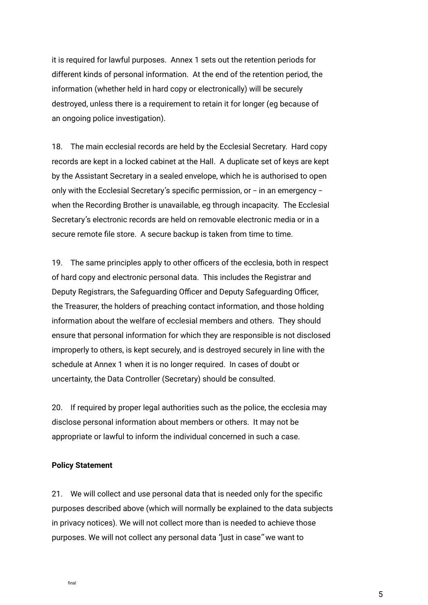it is required for lawful purposes. Annex 1 sets out the retention periods for different kinds of personal information. At the end of the retention period, the information (whether held in hard copy or electronically) will be securely destroyed, unless there is a requirement to retain it for longer (eg because of an ongoing police investigation).

18. The main ecclesial records are held by the Ecclesial Secretary. Hard copy records are kept in a locked cabinet at the Hall. A duplicate set of keys are kept by the Assistant Secretary in a sealed envelope, which he is authorised to open only with the Ecclesial Secretary's specifc permission, or – in an emergency – when the Recording Brother is unavailable, eg through incapacity. The Ecclesial Secretary's electronic records are held on removable electronic media or in a secure remote fle store. A secure backup is taken from time to time.

19. The same principles apply to other officers of the ecclesia, both in respect of hard copy and electronic personal data. This includes the Registrar and Deputy Registrars, the Safeguarding Officer and Deputy Safeguarding Officer, the Treasurer, the holders of preaching contact information, and those holding information about the welfare of ecclesial members and others. They should ensure that personal information for which they are responsible is not disclosed improperly to others, is kept securely, and is destroyed securely in line with the schedule at Annex 1 when it is no longer required. In cases of doubt or uncertainty, the Data Controller (Secretary) should be consulted.

20. If required by proper legal authorities such as the police, the ecclesia may disclose personal information about members or others. It may not be appropriate or lawful to inform the individual concerned in such a case.

#### **Policy Statement**

21. We will collect and use personal data that is needed only for the specific purposes described above (which will normally be explained to the data subjects in privacy notices). We will not collect more than is needed to achieve those purposes. We will not collect any personal data "just in case" we want to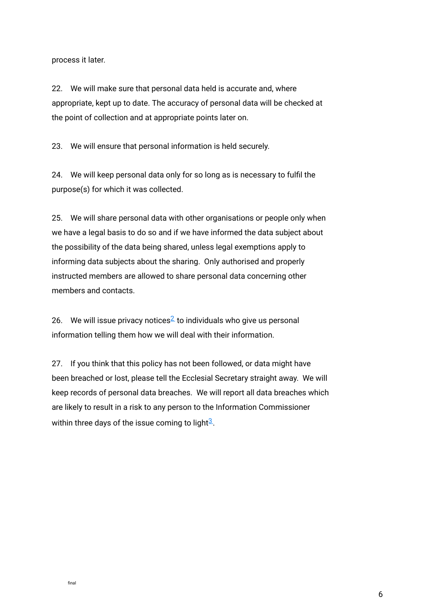process it later.

22. We will make sure that personal data held is accurate and, where appropriate, kept up to date. The accuracy of personal data will be checked at the point of collection and at appropriate points later on.

23. We will ensure that personal information is held securely.

24. We will keep personal data only for so long as is necessary to fulfil the purpose(s) for which it was collected.

25. We will share personal data with other organisations or people only when we have a legal basis to do so and if we have informed the data subject about the possibility of the data being shared, unless legal exemptions apply to informing data subjects about the sharing. Only authorised and properly instructed members are allowed to share personal data concerning other members and contacts.

26. We will issue privacy notices<sup>2</sup> to individuals who give us personal information telling them how we will deal with their information.

27. If you think that this policy has not been followed, or data might have been breached or lost, please tell the Ecclesial Secretary straight away. We will keep records of personal data breaches. We will report all data breaches which are likely to result in a risk to any person to the Information Commissioner within three days of the issue coming to light $\frac{3}{2}$ .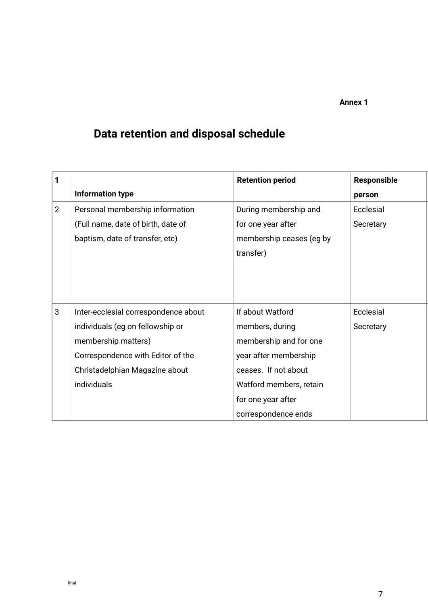### **Annex 1**

# **Data retention and disposal schedule**

| 1              |                                      | <b>Retention period</b>  | <b>Responsible</b> |
|----------------|--------------------------------------|--------------------------|--------------------|
|                | <b>Information type</b>              |                          | person             |
| $\overline{2}$ | Personal membership information      | During membership and    | Ecclesial          |
|                | (Full name, date of birth, date of   | for one year after       | Secretary          |
|                | baptism, date of transfer, etc)      | membership ceases (eg by |                    |
|                |                                      | transfer)                |                    |
|                |                                      |                          |                    |
|                |                                      |                          |                    |
|                |                                      |                          |                    |
| 3              | Inter-ecclesial correspondence about | If about Watford         | Ecclesial          |
|                | individuals (eg on fellowship or     | members, during          | Secretary          |
|                | membership matters)                  | membership and for one   |                    |
|                | Correspondence with Editor of the    | year after membership    |                    |
|                | Christadelphian Magazine about       | ceases. If not about     |                    |
|                | individuals                          | Watford members, retain  |                    |
|                |                                      | for one year after       |                    |
|                |                                      | correspondence ends      |                    |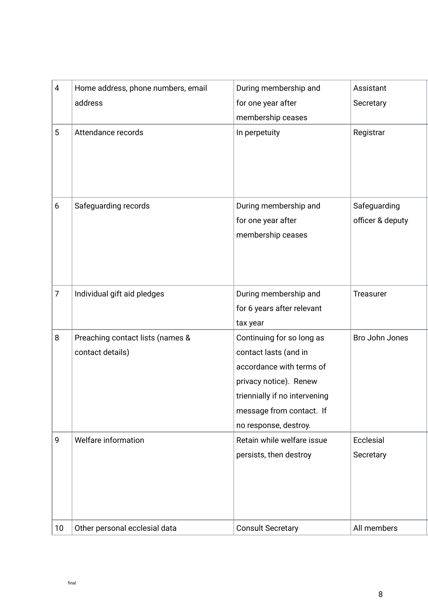| 4     | Home address, phone numbers, email | During membership and         | Assistant        |
|-------|------------------------------------|-------------------------------|------------------|
|       | address                            | for one year after            | Secretary        |
|       |                                    | membership ceases             |                  |
| 5     | Attendance records                 | In perpetuity                 | Registrar        |
|       |                                    |                               |                  |
|       |                                    |                               |                  |
|       |                                    |                               |                  |
|       |                                    |                               |                  |
| $6\,$ | Safeguarding records               | During membership and         | Safeguarding     |
|       |                                    | for one year after            | officer & deputy |
|       |                                    | membership ceases             |                  |
|       |                                    |                               |                  |
|       |                                    |                               |                  |
|       |                                    |                               |                  |
| 7     | Individual gift aid pledges        | During membership and         | Treasurer        |
|       |                                    | for 6 years after relevant    |                  |
|       |                                    | tax year                      |                  |
| 8     | Preaching contact lists (names &   | Continuing for so long as     | Bro John Jones   |
|       | contact details)                   | contact lasts (and in         |                  |
|       |                                    | accordance with terms of      |                  |
|       |                                    | privacy notice). Renew        |                  |
|       |                                    | triennially if no intervening |                  |
|       |                                    | message from contact. If      |                  |
|       |                                    | no response, destroy.         |                  |
| 9     | Welfare information                | Retain while welfare issue    | Ecclesial        |
|       |                                    | persists, then destroy        | Secretary        |
|       |                                    |                               |                  |
|       |                                    |                               |                  |
|       |                                    |                               |                  |
|       |                                    |                               |                  |
| 10    | Other personal ecclesial data      | <b>Consult Secretary</b>      | All members      |